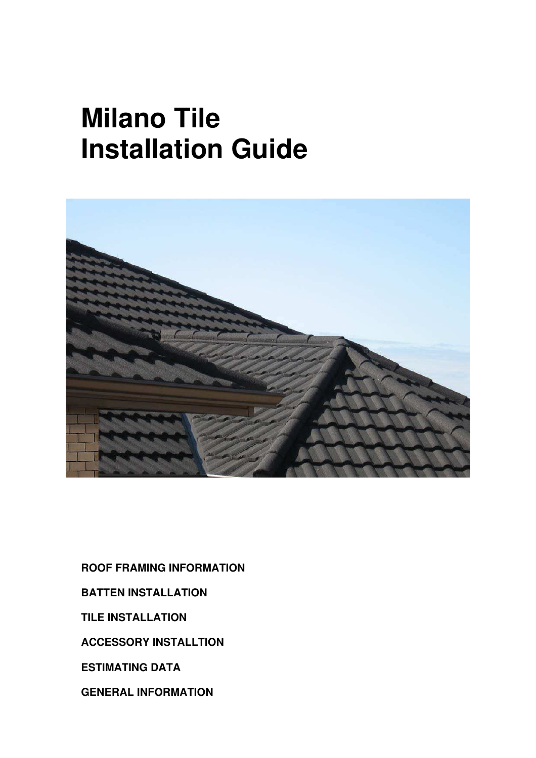# **Milano Tile Installation Guide**



**ROOF FRAMING INFORMATION BATTEN INSTALLATION** 

**TILE INSTALLATION** 

**ACCESSORY INSTALLTION** 

**ESTIMATING DATA** 

**GENERAL INFORMATION**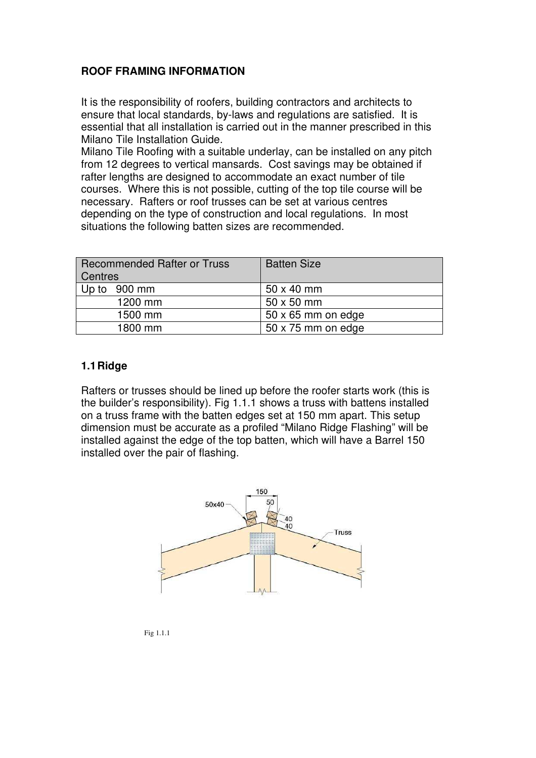## **ROOF FRAMING INFORMATION**

It is the responsibility of roofers, building contractors and architects to ensure that local standards, by-laws and regulations are satisfied. It is essential that all installation is carried out in the manner prescribed in this Milano Tile Installation Guide.

Milano Tile Roofing with a suitable underlay, can be installed on any pitch from 12 degrees to vertical mansards. Cost savings may be obtained if rafter lengths are designed to accommodate an exact number of tile courses. Where this is not possible, cutting of the top tile course will be necessary. Rafters or roof trusses can be set at various centres depending on the type of construction and local regulations. In most situations the following batten sizes are recommended.

| <b>Recommended Rafter or Truss</b><br>Centres | <b>Batten Size</b>        |
|-----------------------------------------------|---------------------------|
| Up to 900 mm                                  | $50 \times 40$ mm         |
| 1200 mm                                       | 50 x 50 mm                |
| 1500 mm                                       | $50 \times 65$ mm on edge |
| 1800 mm                                       | $50 \times 75$ mm on edge |

### **1.1 Ridge**

Rafters or trusses should be lined up before the roofer starts work (this is the builder's responsibility). Fig 1.1.1 shows a truss with battens installed on a truss frame with the batten edges set at 150 mm apart. This setup dimension must be accurate as a profiled "Milano Ridge Flashing" will be installed against the edge of the top batten, which will have a Barrel 150 installed over the pair of flashing.



Fig 1.1.1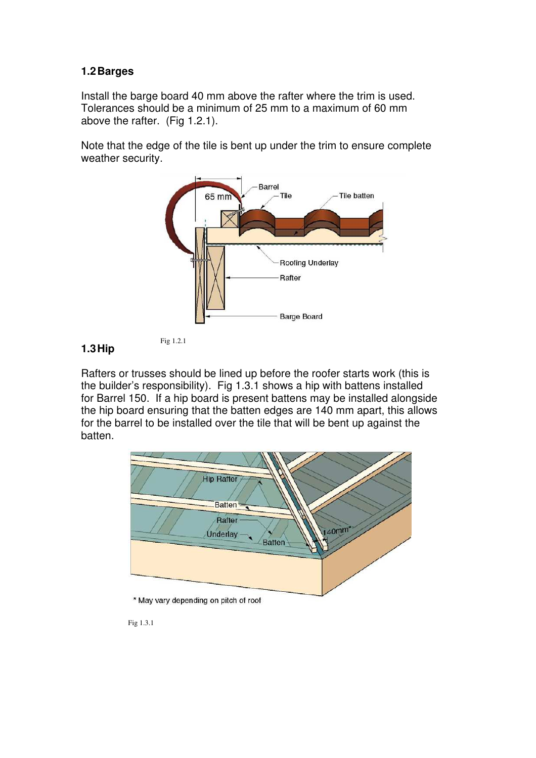## **1.2 Barges**

Install the barge board 40 mm above the rafter where the trim is used. Tolerances should be a minimum of 25 mm to a maximum of 60 mm above the rafter. (Fig 1.2.1).

Note that the edge of the tile is bent up under the trim to ensure complete weather security.





Rafters or trusses should be lined up before the roofer starts work (this is the builder's responsibility). Fig 1.3.1 shows a hip with battens installed for Barrel 150. If a hip board is present battens may be installed alongside the hip board ensuring that the batten edges are 140 mm apart, this allows for the barrel to be installed over the tile that will be bent up against the batten.



Fig 1.3.1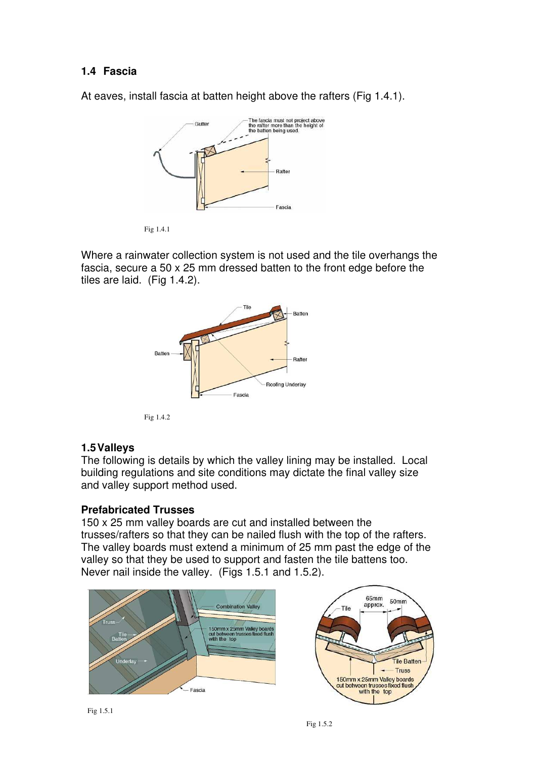## **1.4 Fascia**

At eaves, install fascia at batten height above the rafters (Fig 1.4.1).



Fig 1.4.1

Where a rainwater collection system is not used and the tile overhangs the fascia, secure a 50 x 25 mm dressed batten to the front edge before the tiles are laid. (Fig 1.4.2).



Fig 1.4.2

## **1.5 Valleys**

The following is details by which the valley lining may be installed. Local building regulations and site conditions may dictate the final valley size and valley support method used.

## **Prefabricated Trusses**

150 x 25 mm valley boards are cut and installed between the trusses/rafters so that they can be nailed flush with the top of the rafters. The valley boards must extend a minimum of 25 mm past the edge of the valley so that they be used to support and fasten the tile battens too. Never nail inside the valley. (Figs 1.5.1 and 1.5.2).

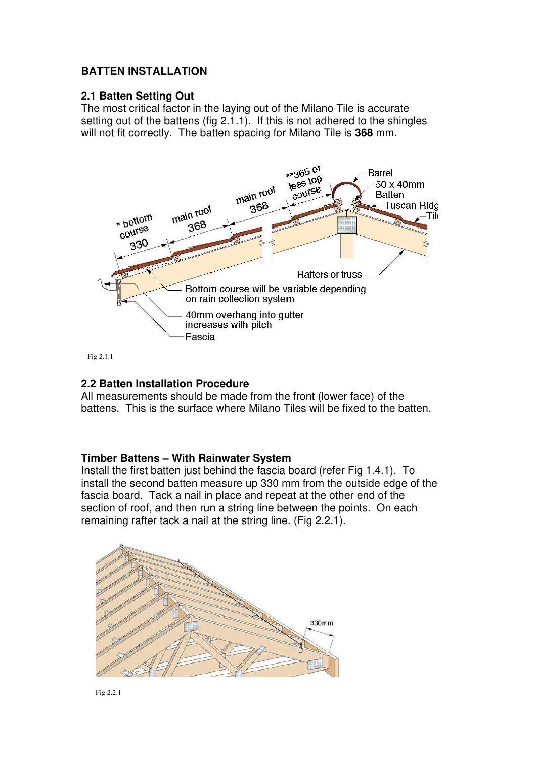## **BATTEN INSTALLATION**

### **2.1 Batten Setting Out**

The most critical factor in the laying out of the Milano Tile is accurate setting out of the battens (fig 2.1.1). If this is not adhered to the shingles will not fit correctly. The batten spacing for Milano Tile is **368** mm.



Fig 2.1.1

#### **2.2 Batten Installation Procedure**

All measurements should be made from the front (lower face) of the battens. This is the surface where Milano Tiles will be fixed to the batten.

#### **Timber Battens – With Rainwater System**

Install the first batten just behind the fascia board (refer Fig 1.4.1). To install the second batten measure up 330 mm from the outside edge of the fascia board. Tack a nail in place and repeat at the other end of the section of roof, and then run a string line between the points. On each remaining rafter tack a nail at the string line. (Fig 2.2.1).

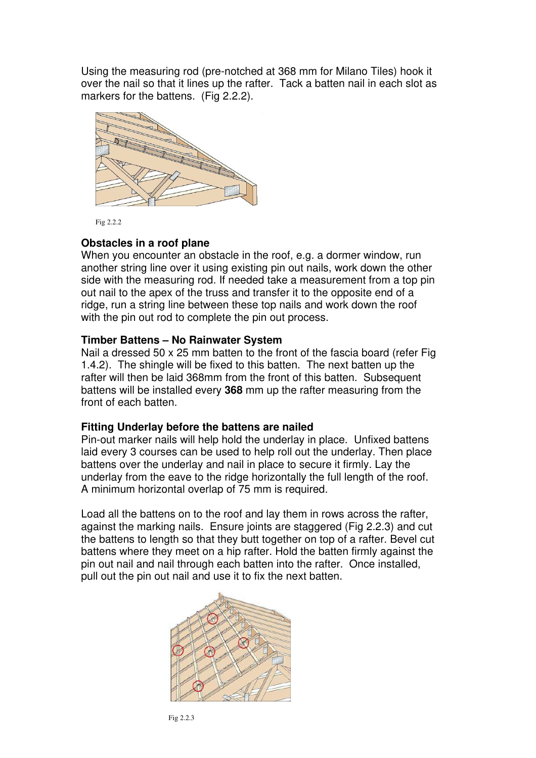Using the measuring rod (pre-notched at 368 mm for Milano Tiles) hook it over the nail so that it lines up the rafter. Tack a batten nail in each slot as markers for the battens. (Fig 2.2.2).



Fig 2.2.2

#### **Obstacles in a roof plane**

When you encounter an obstacle in the roof, e.g. a dormer window, run another string line over it using existing pin out nails, work down the other side with the measuring rod. If needed take a measurement from a top pin out nail to the apex of the truss and transfer it to the opposite end of a ridge, run a string line between these top nails and work down the roof with the pin out rod to complete the pin out process.

#### **Timber Battens – No Rainwater System**

Nail a dressed 50 x 25 mm batten to the front of the fascia board (refer Fig 1.4.2). The shingle will be fixed to this batten. The next batten up the rafter will then be laid 368mm from the front of this batten. Subsequent battens will be installed every **368** mm up the rafter measuring from the front of each batten.

#### **Fitting Underlay before the battens are nailed**

Pin-out marker nails will help hold the underlay in place. Unfixed battens laid every 3 courses can be used to help roll out the underlay. Then place battens over the underlay and nail in place to secure it firmly. Lay the underlay from the eave to the ridge horizontally the full length of the roof. A minimum horizontal overlap of 75 mm is required.

Load all the battens on to the roof and lay them in rows across the rafter, against the marking nails. Ensure joints are staggered (Fig 2.2.3) and cut the battens to length so that they butt together on top of a rafter. Bevel cut battens where they meet on a hip rafter. Hold the batten firmly against the pin out nail and nail through each batten into the rafter. Once installed, pull out the pin out nail and use it to fix the next batten.

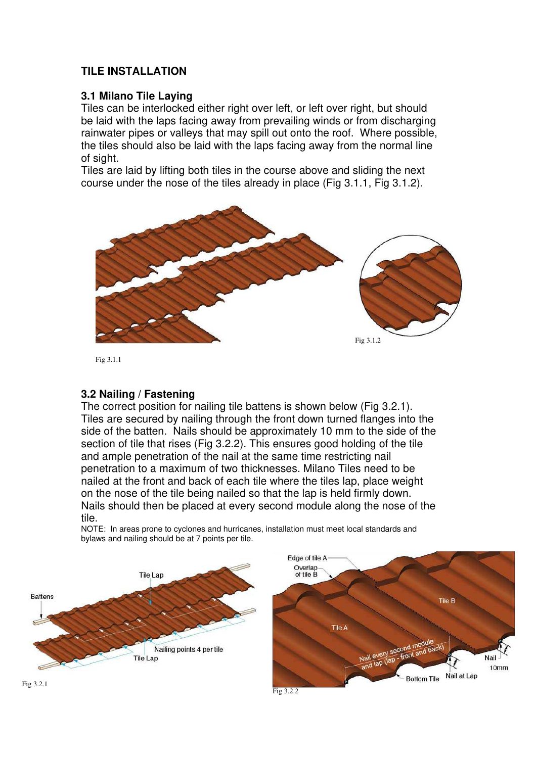# **TILE INSTALLATION**

## **3.1 Milano Tile Laying**

Tiles can be interlocked either right over left, or left over right, but should be laid with the laps facing away from prevailing winds or from discharging rainwater pipes or valleys that may spill out onto the roof. Where possible, the tiles should also be laid with the laps facing away from the normal line of sight.

Tiles are laid by lifting both tiles in the course above and sliding the next course under the nose of the tiles already in place (Fig 3.1.1, Fig 3.1.2).



Fig 3.1.1

### **3.2 Nailing / Fastening**

The correct position for nailing tile battens is shown below (Fig 3.2.1). Tiles are secured by nailing through the front down turned flanges into the side of the batten. Nails should be approximately 10 mm to the side of the section of tile that rises (Fig 3.2.2). This ensures good holding of the tile and ample penetration of the nail at the same time restricting nail penetration to a maximum of two thicknesses. Milano Tiles need to be nailed at the front and back of each tile where the tiles lap, place weight on the nose of the tile being nailed so that the lap is held firmly down. Nails should then be placed at every second module along the nose of the tile.

NOTE: In areas prone to cyclones and hurricanes, installation must meet local standards and bylaws and nailing should be at 7 points per tile.

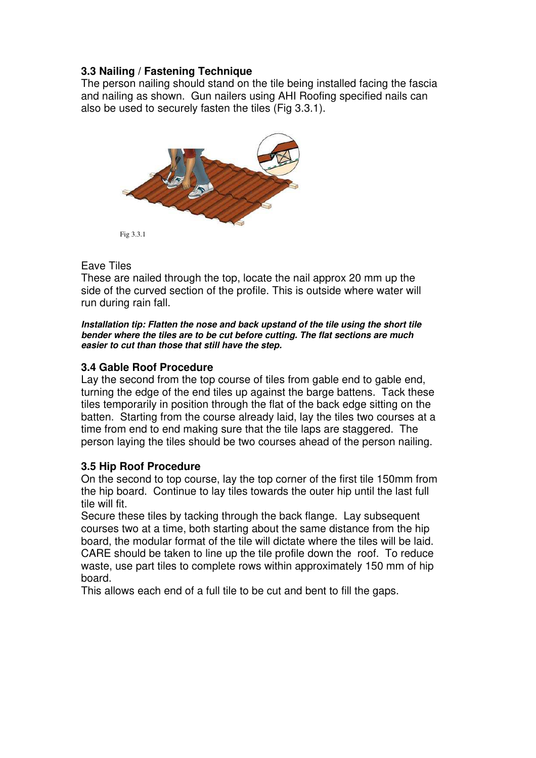## **3.3 Nailing / Fastening Technique**

The person nailing should stand on the tile being installed facing the fascia and nailing as shown. Gun nailers using AHI Roofing specified nails can also be used to securely fasten the tiles (Fig 3.3.1).



### Eave Tiles

These are nailed through the top, locate the nail approx 20 mm up the side of the curved section of the profile. This is outside where water will run during rain fall.

*Installation tip: Flatten the nose and back upstand of the tile using the short tile bender where the tiles are to be cut before cutting. The flat sections are much easier to cut than those that still have the step.* 

## **3.4 Gable Roof Procedure**

Lay the second from the top course of tiles from gable end to gable end, turning the edge of the end tiles up against the barge battens. Tack these tiles temporarily in position through the flat of the back edge sitting on the batten. Starting from the course already laid, lay the tiles two courses at a time from end to end making sure that the tile laps are staggered. The person laying the tiles should be two courses ahead of the person nailing.

## **3.5 Hip Roof Procedure**

On the second to top course, lay the top corner of the first tile 150mm from the hip board. Continue to lay tiles towards the outer hip until the last full tile will fit.

Secure these tiles by tacking through the back flange. Lay subsequent courses two at a time, both starting about the same distance from the hip board, the modular format of the tile will dictate where the tiles will be laid. CARE should be taken to line up the tile profile down the roof. To reduce waste, use part tiles to complete rows within approximately 150 mm of hip board.

This allows each end of a full tile to be cut and bent to fill the gaps.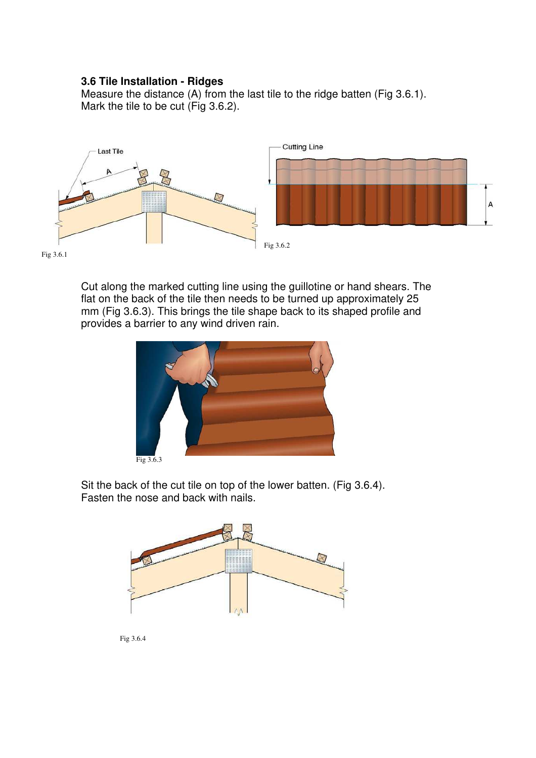## **3.6 Tile Installation - Ridges**

Measure the distance (A) from the last tile to the ridge batten (Fig 3.6.1). Mark the tile to be cut (Fig 3.6.2).



Fig 3.6.1

Cut along the marked cutting line using the guillotine or hand shears. The flat on the back of the tile then needs to be turned up approximately 25 mm (Fig 3.6.3). This brings the tile shape back to its shaped profile and provides a barrier to any wind driven rain.



Sit the back of the cut tile on top of the lower batten. (Fig 3.6.4). Fasten the nose and back with nails.



Fig 3.6.4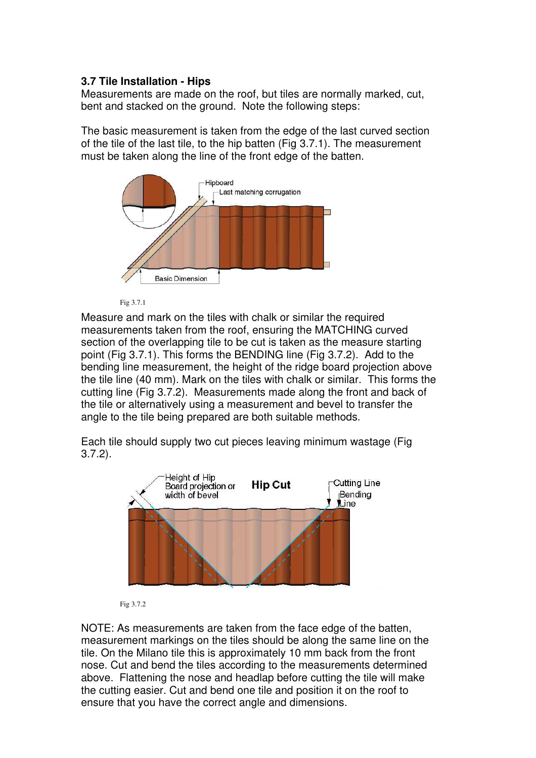## **3.7 Tile Installation - Hips**

Measurements are made on the roof, but tiles are normally marked, cut, bent and stacked on the ground. Note the following steps:

The basic measurement is taken from the edge of the last curved section of the tile of the last tile, to the hip batten (Fig 3.7.1). The measurement must be taken along the line of the front edge of the batten.



Fig 3.7.1

Measure and mark on the tiles with chalk or similar the required measurements taken from the roof, ensuring the MATCHING curved section of the overlapping tile to be cut is taken as the measure starting point (Fig 3.7.1). This forms the BENDING line (Fig 3.7.2). Add to the bending line measurement, the height of the ridge board projection above the tile line (40 mm). Mark on the tiles with chalk or similar. This forms the cutting line (Fig 3.7.2). Measurements made along the front and back of the tile or alternatively using a measurement and bevel to transfer the angle to the tile being prepared are both suitable methods.

Each tile should supply two cut pieces leaving minimum wastage (Fig 3.7.2).



Fig 3.7.2

NOTE: As measurements are taken from the face edge of the batten, measurement markings on the tiles should be along the same line on the tile. On the Milano tile this is approximately 10 mm back from the front nose. Cut and bend the tiles according to the measurements determined above. Flattening the nose and headlap before cutting the tile will make the cutting easier. Cut and bend one tile and position it on the roof to ensure that you have the correct angle and dimensions.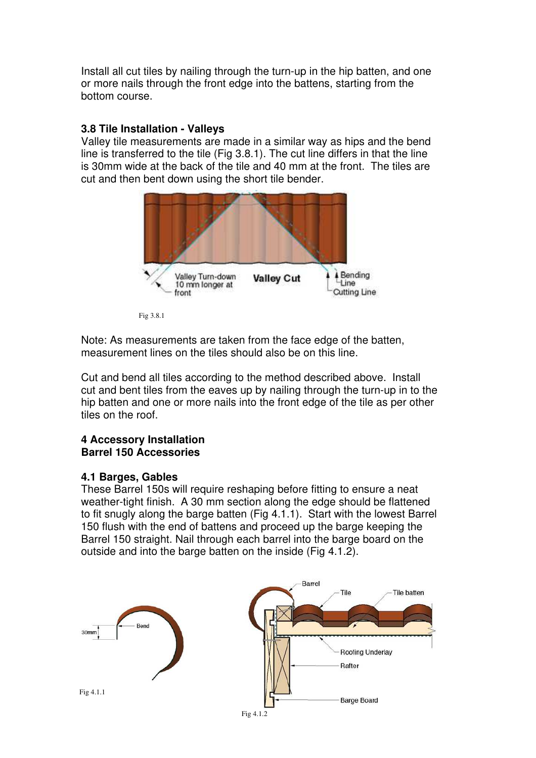Install all cut tiles by nailing through the turn-up in the hip batten, and one or more nails through the front edge into the battens, starting from the bottom course.

## **3.8 Tile Installation - Valleys**

Valley tile measurements are made in a similar way as hips and the bend line is transferred to the tile (Fig 3.8.1). The cut line differs in that the line is 30mm wide at the back of the tile and 40 mm at the front. The tiles are cut and then bent down using the short tile bender.



Fig 3.8.1

Note: As measurements are taken from the face edge of the batten, measurement lines on the tiles should also be on this line.

Cut and bend all tiles according to the method described above. Install cut and bent tiles from the eaves up by nailing through the turn-up in to the hip batten and one or more nails into the front edge of the tile as per other tiles on the roof.

### **4 Accessory Installation Barrel 150 Accessories**

### **4.1 Barges, Gables**

These Barrel 150s will require reshaping before fitting to ensure a neat weather-tight finish. A 30 mm section along the edge should be flattened to fit snugly along the barge batten (Fig 4.1.1). Start with the lowest Barrel 150 flush with the end of battens and proceed up the barge keeping the Barrel 150 straight. Nail through each barrel into the barge board on the outside and into the barge batten on the inside (Fig 4.1.2).

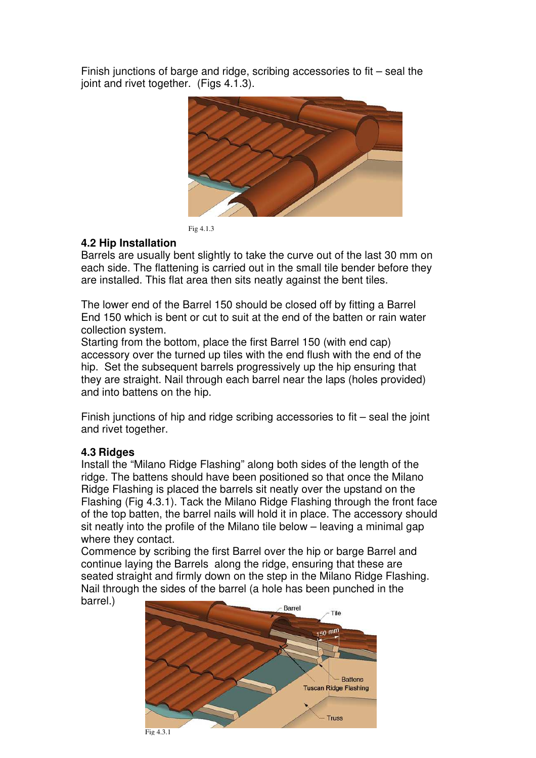Finish junctions of barge and ridge, scribing accessories to fit – seal the joint and rivet together. (Figs 4.1.3).



Fig 4.1.3

# **4.2 Hip Installation**

Barrels are usually bent slightly to take the curve out of the last 30 mm on each side. The flattening is carried out in the small tile bender before they are installed. This flat area then sits neatly against the bent tiles.

The lower end of the Barrel 150 should be closed off by fitting a Barrel End 150 which is bent or cut to suit at the end of the batten or rain water collection system.

Starting from the bottom, place the first Barrel 150 (with end cap) accessory over the turned up tiles with the end flush with the end of the hip. Set the subsequent barrels progressively up the hip ensuring that they are straight. Nail through each barrel near the laps (holes provided) and into battens on the hip.

Finish junctions of hip and ridge scribing accessories to fit – seal the joint and rivet together.

## **4.3 Ridges**

Install the "Milano Ridge Flashing" along both sides of the length of the ridge. The battens should have been positioned so that once the Milano Ridge Flashing is placed the barrels sit neatly over the upstand on the Flashing (Fig 4.3.1). Tack the Milano Ridge Flashing through the front face of the top batten, the barrel nails will hold it in place. The accessory should sit neatly into the profile of the Milano tile below – leaving a minimal gap where they contact.

Commence by scribing the first Barrel over the hip or barge Barrel and continue laying the Barrels along the ridge, ensuring that these are seated straight and firmly down on the step in the Milano Ridge Flashing. Nail through the sides of the barrel (a hole has been punched in the barrel.)



Fig 4.3.1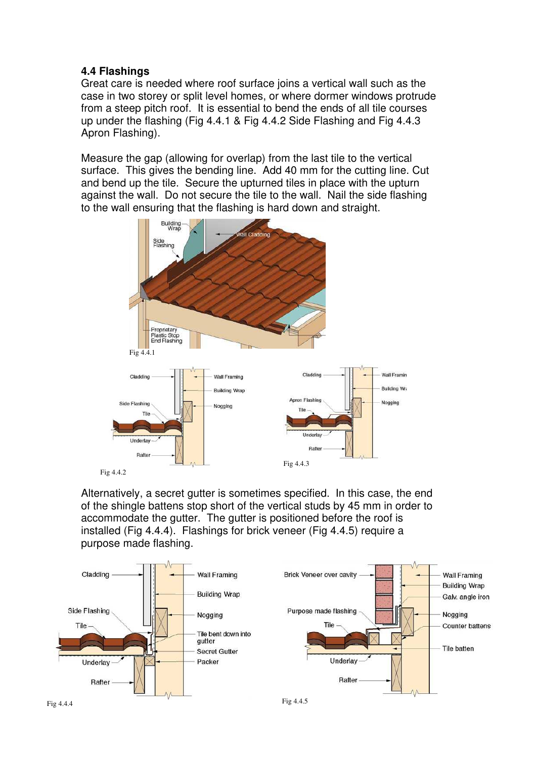## **4.4 Flashings**

Great care is needed where roof surface joins a vertical wall such as the case in two storey or split level homes, or where dormer windows protrude from a steep pitch roof. It is essential to bend the ends of all tile courses up under the flashing (Fig 4.4.1 & Fig 4.4.2 Side Flashing and Fig 4.4.3 Apron Flashing).

Measure the gap (allowing for overlap) from the last tile to the vertical surface. This gives the bending line. Add 40 mm for the cutting line. Cut and bend up the tile. Secure the upturned tiles in place with the upturn against the wall. Do not secure the tile to the wall. Nail the side flashing to the wall ensuring that the flashing is hard down and straight.



Alternatively, a secret gutter is sometimes specified. In this case, the end of the shingle battens stop short of the vertical studs by 45 mm in order to accommodate the gutter. The gutter is positioned before the roof is installed (Fig 4.4.4). Flashings for brick veneer (Fig 4.4.5) require a purpose made flashing.

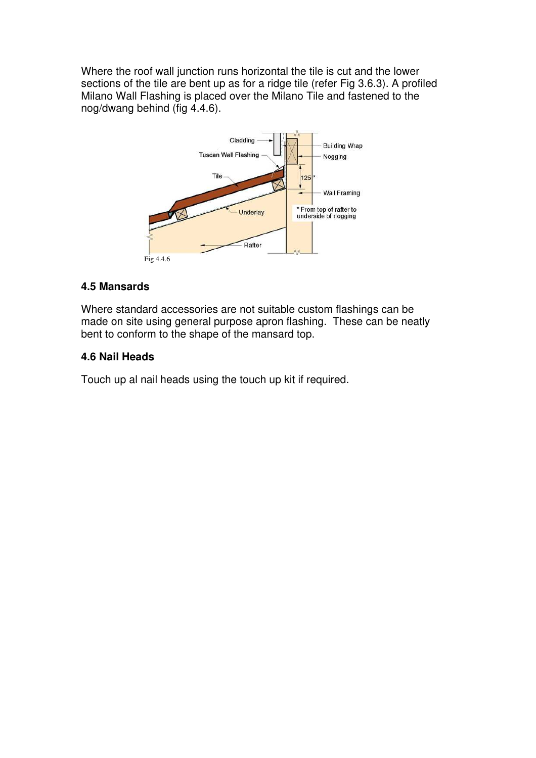Where the roof wall junction runs horizontal the tile is cut and the lower sections of the tile are bent up as for a ridge tile (refer Fig 3.6.3). A profiled Milano Wall Flashing is placed over the Milano Tile and fastened to the nog/dwang behind (fig 4.4.6).



## **4.5 Mansards**

Where standard accessories are not suitable custom flashings can be made on site using general purpose apron flashing. These can be neatly bent to conform to the shape of the mansard top.

### **4.6 Nail Heads**

Touch up al nail heads using the touch up kit if required.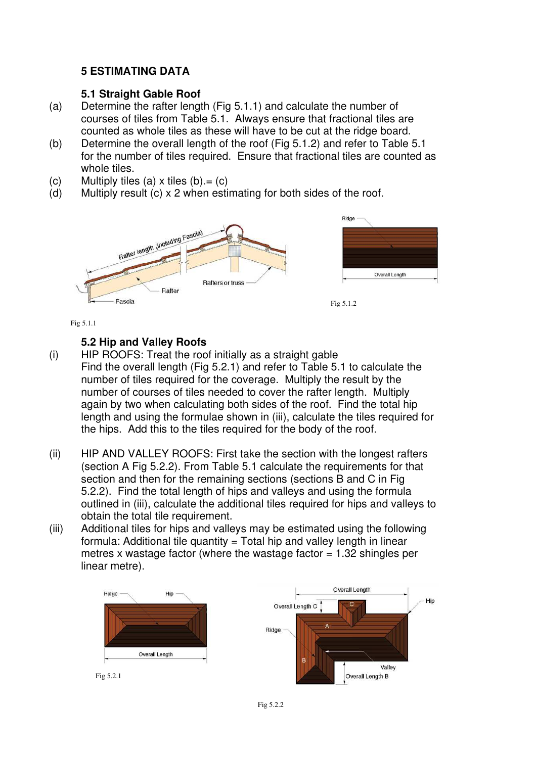## **5 ESTIMATING DATA**

### **5.1 Straight Gable Roof**

- (a) Determine the rafter length (Fig 5.1.1) and calculate the number of courses of tiles from Table 5.1. Always ensure that fractional tiles are counted as whole tiles as these will have to be cut at the ridge board.
- (b) Determine the overall length of the roof (Fig 5.1.2) and refer to Table 5.1 for the number of tiles required. Ensure that fractional tiles are counted as whole tiles.
- (c) Multiply tiles (a)  $x$  tiles (b). = (c)
- (d) Multiply result (c) x 2 when estimating for both sides of the roof.



Fig 5.1.1

## **5.2 Hip and Valley Roofs**

- (i) HIP ROOFS: Treat the roof initially as a straight gable Find the overall length (Fig 5.2.1) and refer to Table 5.1 to calculate the number of tiles required for the coverage. Multiply the result by the number of courses of tiles needed to cover the rafter length. Multiply again by two when calculating both sides of the roof. Find the total hip length and using the formulae shown in (iii), calculate the tiles required for the hips. Add this to the tiles required for the body of the roof.
- (ii) HIP AND VALLEY ROOFS: First take the section with the longest rafters (section A Fig 5.2.2). From Table 5.1 calculate the requirements for that section and then for the remaining sections (sections B and C in Fig. 5.2.2). Find the total length of hips and valleys and using the formula outlined in (iii), calculate the additional tiles required for hips and valleys to obtain the total tile requirement.
- (iii) Additional tiles for hips and valleys may be estimated using the following formula: Additional tile quantity = Total hip and valley length in linear metres x wastage factor (where the wastage factor  $= 1.32$  shingles per linear metre).

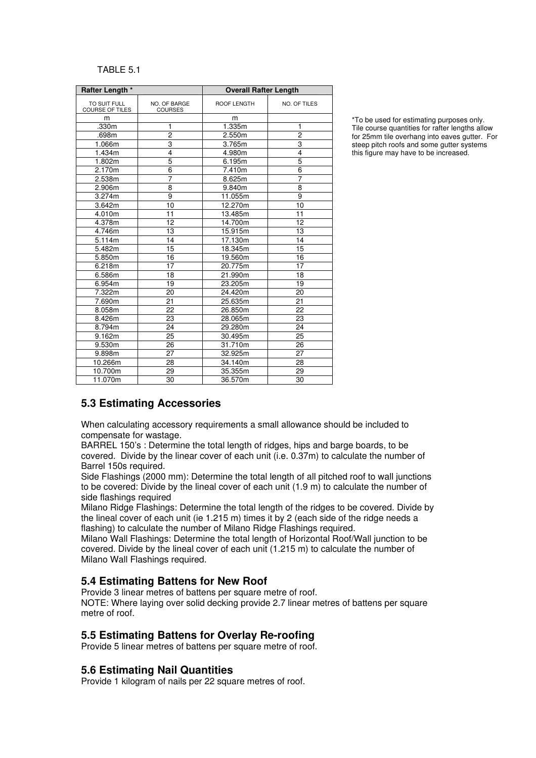#### TABLE 5.1

| Rafter Length *                 |                                | <b>Overall Rafter Length</b> |                     |
|---------------------------------|--------------------------------|------------------------------|---------------------|
| TO SUIT FULL<br>COURSE OF TILES | NO. OF BARGE<br><b>COURSES</b> | ROOF LENGTH                  | <b>NO. OF TILES</b> |
| m                               |                                | m                            |                     |
| .330m                           | 1                              | 1.335m                       | 1                   |
| .698m                           | $\overline{c}$                 | 2.550m                       | $\overline{c}$      |
| 1.066m                          | 3                              | 3.765m                       | 3                   |
| 1.434m                          | 4                              | 4.980m                       | 4                   |
| 1.802m                          | 5                              | 6.195m                       | 5                   |
| 2.170m                          | 6                              | 7.410m                       | 6                   |
| 2.538m                          | $\overline{7}$                 | 8.625m                       | 7                   |
| 2.906m                          | 8                              | 9.840m                       | 8                   |
| 3.274m                          | 9                              | 11.055m                      | $\overline{9}$      |
| 3.642m                          | 10                             | 12.270m                      | 10                  |
| 4.010m                          | 11                             | 13.485m                      | 11                  |
| 4.378m                          | 12                             | 14.700m                      | 12                  |
| 4.746m                          | 13                             | 15.915m                      | 13                  |
| 5.114m                          | 14                             | 17.130m                      | 14                  |
| 5.482m                          | 15                             | 18.345m                      | 15                  |
| 5.850m                          | 16                             | 19.560m                      | 16                  |
| 6.218m                          | 17                             | 20.775m                      | 17                  |
| 6.586m                          | 18                             | 21.990m                      | 18                  |
| 6.954m                          | 19                             | 23.205m                      | 19                  |
| 7.322m                          | 20                             | 24.420m                      | 20                  |
| 7.690m                          | 21                             | 25.635m                      | 21                  |
| 8.058m                          | 22                             | 26.850m                      | 22                  |
| 8.426m                          | 23                             | 28.065m                      | 23                  |
| 8.794m                          | 24                             | 29.280m                      | 24                  |
| 9.162m                          | 25                             | 30.495m                      | 25                  |
| 9.530m                          | 26                             | 31.710m                      | 26                  |
| 9.898m                          | 27                             | 32.925m                      | 27                  |
| 10.266m                         | 28                             | 34.140m                      | 28                  |
| 10.700m                         | 29                             | 35.355m                      | 29                  |
| 11.070m                         | 30                             | 36.570m                      | 30                  |

\*To be used for estimating purposes only. Tile course quantities for rafter lengths allow for 25mm tile overhang into eaves gutter. For steep pitch roofs and some gutter systems this figure may have to be increased.

### **5.3 Estimating Accessories**

When calculating accessory requirements a small allowance should be included to compensate for wastage.

BARREL 150's : Determine the total length of ridges, hips and barge boards, to be covered. Divide by the linear cover of each unit (i.e. 0.37m) to calculate the number of Barrel 150s required.

Side Flashings (2000 mm): Determine the total length of all pitched roof to wall junctions to be covered: Divide by the lineal cover of each unit (1.9 m) to calculate the number of side flashings required

Milano Ridge Flashings: Determine the total length of the ridges to be covered. Divide by the lineal cover of each unit (ie 1.215 m) times it by 2 (each side of the ridge needs a flashing) to calculate the number of Milano Ridge Flashings required.

Milano Wall Flashings: Determine the total length of Horizontal Roof/Wall junction to be covered. Divide by the lineal cover of each unit (1.215 m) to calculate the number of Milano Wall Flashings required.

#### **5.4 Estimating Battens for New Roof**

Provide 3 linear metres of battens per square metre of roof.

NOTE: Where laying over solid decking provide 2.7 linear metres of battens per square metre of roof.

#### **5.5 Estimating Battens for Overlay Re-roofing**

Provide 5 linear metres of battens per square metre of roof.

#### **5.6 Estimating Nail Quantities**

Provide 1 kilogram of nails per 22 square metres of roof.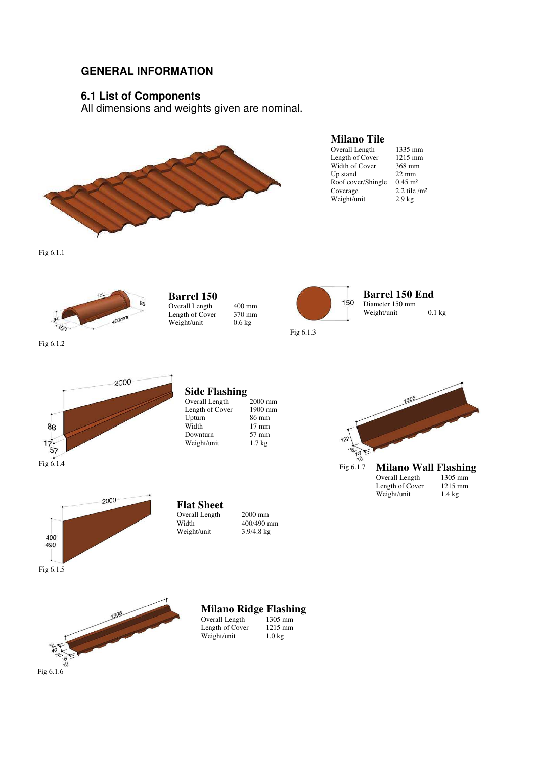## **GENERAL INFORMATION**

## **6.1 List of Components**

All dimensions and weights given are nominal.



**Milano Tile** 

Overall Length 1335 mm<br>
Length of Cover 1215 mm Length of Cover 1215 mm<br>Width of Cover 368 mm Width of Cover 368 mm<br>Up stand 22 mm Up stand  $22 \text{ mm}$ <br>Roof cover/Shingle  $0.45 \text{ m}^2$ Roof cover/Shingle<br>Coverage Weight/unit 2.9 kg

2.2 tile  $/m<sup>2</sup>$ 

Fig 6.1.1





**Milano Ridge Flashing**  nm<br>nm

| Overall Length  | тэөэ шш          |
|-----------------|------------------|
| Length of Cover | $1215$ mm        |
| Weight/unit     | $1.0 \text{ kg}$ |